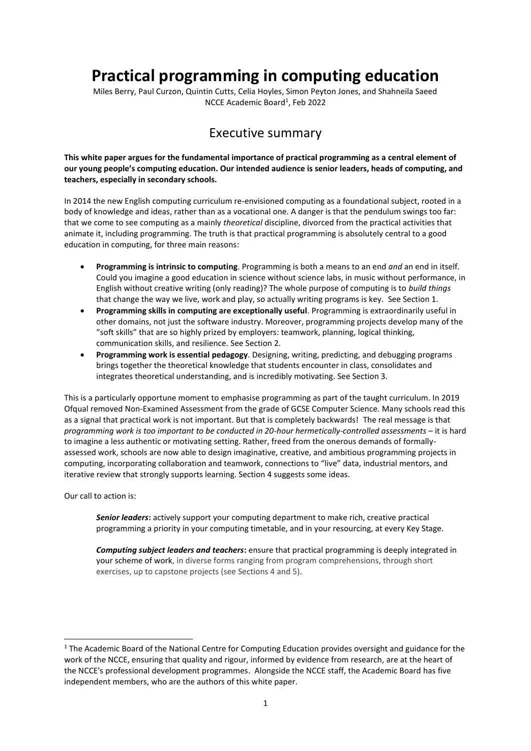### **Practical programming in computing education**

Miles Berry, Paul Curzon, Quintin Cutts, Celia Hoyles, Simon Peyton Jones, and Shahneila Saeed NCCE Academic Board<sup>1</sup>, Feb 2022

### Executive summary

**This white paper argues for the fundamental importance of practical programming as a central element of our young people's computing education. Our intended audience is senior leaders, heads of computing, and teachers, especially in secondary schools.**

In 2014 the new English computing curriculum re-envisioned computing as a foundational subject, rooted in a body of knowledge and ideas, rather than as a vocational one. A danger is that the pendulum swings too far: that we come to see computing as a mainly *theoretical* discipline, divorced from the practical activities that animate it, including programming. The truth is that practical programming is absolutely central to a good education in computing, for three main reasons:

- **Programming is intrinsic to computing**. Programming is both a means to an end *and* an end in itself. Could you imagine a good education in science without science labs, in music without performance, in English without creative writing (only reading)? The whole purpose of computing is to *build things* that change the way we live, work and play, so actually writing programs is key. See Section 1.
- **Programming skills in computing are exceptionally useful**. Programming is extraordinarily useful in other domains, not just the software industry. Moreover, programming projects develop many of the "soft skills" that are so highly prized by employers: teamwork, planning, logical thinking, communication skills, and resilience. See Section 2.
- **Programming work is essential pedagogy**. Designing, writing, predicting, and debugging programs brings together the theoretical knowledge that students encounter in class, consolidates and integrates theoretical understanding, and is incredibly motivating. See Section 3.

This is a particularly opportune moment to emphasise programming as part of the taught curriculum. In 2019 Ofqual removed Non-Examined Assessment from the grade of GCSE Computer Science. Many schools read this as a signal that practical work is not important. But that is completely backwards! The real message is that *programming work is too important to be conducted in 20-hour hermetically-controlled assessments* – it is hard to imagine a less authentic or motivating setting. Rather, freed from the onerous demands of formallyassessed work, schools are now able to design imaginative, creative, and ambitious programming projects in computing, incorporating collaboration and teamwork, connections to "live" data, industrial mentors, and iterative review that strongly supports learning. Section 4 suggests some ideas.

Our call to action is:

*Senior leaders***:** actively support your computing department to make rich, creative practical programming a priority in your computing timetable, and in your resourcing, at every Key Stage.

*Computing subject leaders and teachers***:** ensure that practical programming is deeply integrated in your scheme of work, in diverse forms ranging from program comprehensions, through short exercises, up to capstone projects (see Sections 4 and 5).

<sup>&</sup>lt;sup>1</sup> The Academic Board of the National Centre for Computing Education provides oversight and guidance for the work of the NCCE, ensuring that quality and rigour, informed by evidence from research, are at the heart of the NCCE's professional development programmes. Alongside the NCCE staff, the Academic Board has five independent members, who are the authors of this white paper.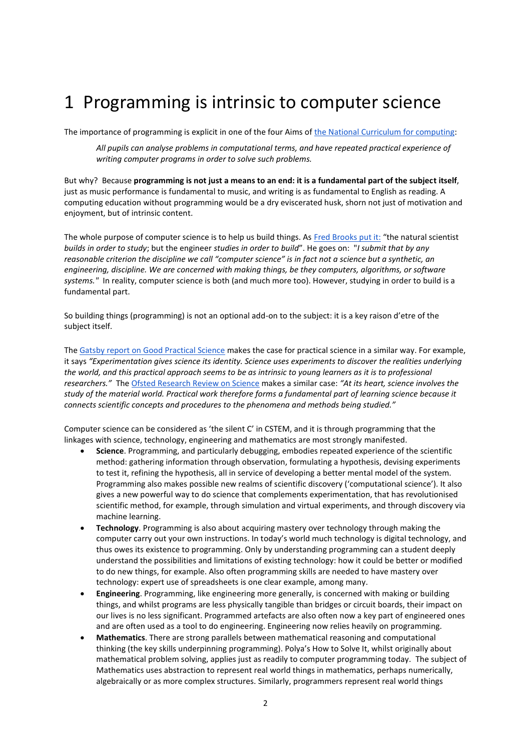## 1 Programming is intrinsic to computer science

The importance of programming is explicit in one of the four Aims o[f the National Curriculum for computing:](https://www.gov.uk/government/publications/national-curriculum-in-england-computing-programmes-of-study)

*All pupils can analyse problems in computational terms, and have repeated practical experience of writing computer programs in order to solve such problems.*

But why? Because **programming is not just a means to an end: it is a fundamental part of the subject itself**, just as music performance is fundamental to music, and writing is as fundamental to English as reading. A computing education without programming would be a dry eviscerated husk, shorn not just of motivation and enjoyment, but of intrinsic content.

The whole purpose of computer science is to help us build things. As [Fred Brooks put it:](https://www.cs.unc.edu/~brooks/Toolsmith-CACM.pdf) "the natural scientist *builds in order to study*; but the engineer *studies in order to build*". He goes on: "*I submit that by any reasonable criterion the discipline we call "computer science" is in fact not a science but a synthetic, an engineering, discipline. We are concerned with making things, be they computers, algorithms, or software systems."* In reality, computer science is both (and much more too). However, studying in order to build is a fundamental part.

So building things (programming) is not an optional add-on to the subject: it is a key raison d'etre of the subject itself.

Th[e Gatsby report on Good Practical Science](https://www.stem.org.uk/good-practical-science) makes the case for practical science in a similar way. For example, it says *"Experimentation gives science its identity. Science uses experiments to discover the realities underlying the world, and this practical approach seems to be as intrinsic to young learners as it is to professional researchers."* Th[e Ofsted Research Review on Science](https://www.gov.uk/government/publications/research-review-series-science/research-review-series-science#practical-work) makes a similar case: *"At its heart, science involves the study of the material world. Practical work therefore forms a fundamental part of learning science because it connects scientific concepts and procedures to the phenomena and methods being studied."*

Computer science can be considered as 'the silent C' in CSTEM, and it is through programming that the linkages with science, technology, engineering and mathematics are most strongly manifested.

- **Science**. Programming, and particularly debugging, embodies repeated experience of the scientific method: gathering information through observation, formulating a hypothesis, devising experiments to test it, refining the hypothesis, all in service of developing a better mental model of the system. Programming also makes possible new realms of scientific discovery ('computational science'). It also gives a new powerful way to do science that complements experimentation, that has revolutionised scientific method, for example, through simulation and virtual experiments, and through discovery via machine learning.
- **Technology**. Programming is also about acquiring mastery over technology through making the computer carry out your own instructions. In today's world much technology is digital technology, and thus owes its existence to programming. Only by understanding programming can a student deeply understand the possibilities and limitations of existing technology: how it could be better or modified to do new things, for example. Also often programming skills are needed to have mastery over technology: expert use of spreadsheets is one clear example, among many.
- **Engineering**. Programming, like engineering more generally, is concerned with making or building things, and whilst programs are less physically tangible than bridges or circuit boards, their impact on our lives is no less significant. Programmed artefacts are also often now a key part of engineered ones and are often used as a tool to do engineering. Engineering now relies heavily on programming.
- **Mathematics**. There are strong parallels between mathematical reasoning and computational thinking (the key skills underpinning programming). Polya's How to Solve It, whilst originally about mathematical problem solving, applies just as readily to computer programming today. The subject of Mathematics uses abstraction to represent real world things in mathematics, perhaps numerically, algebraically or as more complex structures. Similarly, programmers represent real world things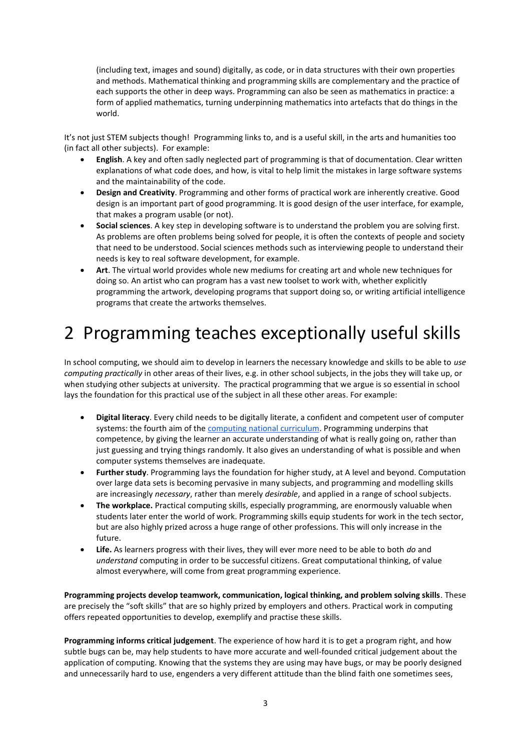(including text, images and sound) digitally, as code, or in data structures with their own properties and methods. Mathematical thinking and programming skills are complementary and the practice of each supports the other in deep ways. Programming can also be seen as mathematics in practice: a form of applied mathematics, turning underpinning mathematics into artefacts that do things in the world.

It's not just STEM subjects though! Programming links to, and is a useful skill, in the arts and humanities too (in fact all other subjects). For example:

- **English**. A key and often sadly neglected part of programming is that of documentation. Clear written explanations of what code does, and how, is vital to help limit the mistakes in large software systems and the maintainability of the code.
- **Design and Creativity**. Programming and other forms of practical work are inherently creative. Good design is an important part of good programming. It is good design of the user interface, for example, that makes a program usable (or not).
- **Social sciences**. A key step in developing software is to understand the problem you are solving first. As problems are often problems being solved for people, it is often the contexts of people and society that need to be understood. Social sciences methods such as interviewing people to understand their needs is key to real software development, for example.
- **Art**. The virtual world provides whole new mediums for creating art and whole new techniques for doing so. An artist who can program has a vast new toolset to work with, whether explicitly programming the artwork, developing programs that support doing so, or writing artificial intelligence programs that create the artworks themselves.

# 2 Programming teaches exceptionally useful skills

In school computing, we should aim to develop in learners the necessary knowledge and skills to be able to *use computing practically* in other areas of their lives, e.g. in other school subjects, in the jobs they will take up, or when studying other subjects at university. The practical programming that we argue is so essential in school lays the foundation for this practical use of the subject in all these other areas. For example:

- **Digital literacy**. Every child needs to be digitally literate, a confident and competent user of computer systems: the fourth aim of the [computing national curriculum.](https://www.gov.uk/government/publications/national-curriculum-in-england-computing-programmes-of-study) Programming underpins that competence, by giving the learner an accurate understanding of what is really going on, rather than just guessing and trying things randomly. It also gives an understanding of what is possible and when computer systems themselves are inadequate.
- **Further study**. Programming lays the foundation for higher study, at A level and beyond. Computation over large data sets is becoming pervasive in many subjects, and programming and modelling skills are increasingly *necessary*, rather than merely *desirable*, and applied in a range of school subjects.
- **The workplace.** Practical computing skills, especially programming, are enormously valuable when students later enter the world of work. Programming skills equip students for work in the tech sector, but are also highly prized across a huge range of other professions. This will only increase in the future.
- **Life.** As learners progress with their lives, they will ever more need to be able to both *do* and *understand* computing in order to be successful citizens. Great computational thinking, of value almost everywhere, will come from great programming experience.

**Programming projects develop teamwork, communication, logical thinking, and problem solving skills**. These are precisely the "soft skills" that are so highly prized by employers and others. Practical work in computing offers repeated opportunities to develop, exemplify and practise these skills.

**Programming informs critical judgement**. The experience of how hard it is to get a program right, and how subtle bugs can be, may help students to have more accurate and well-founded critical judgement about the application of computing. Knowing that the systems they are using may have bugs, or may be poorly designed and unnecessarily hard to use, engenders a very different attitude than the blind faith one sometimes sees,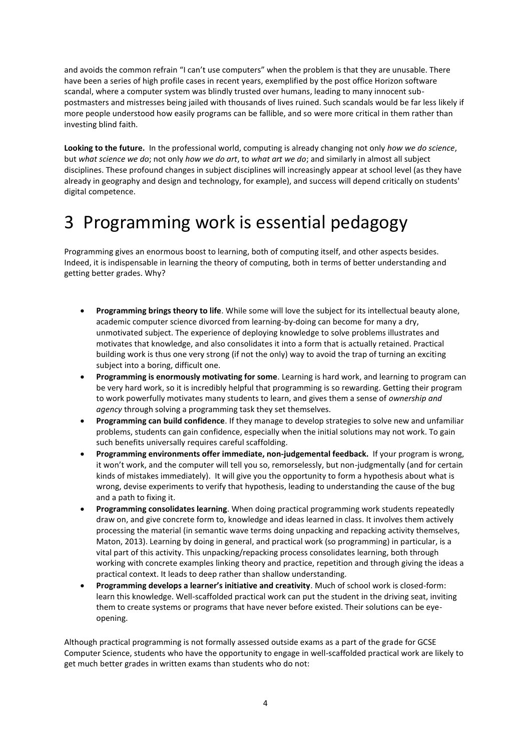and avoids the common refrain "I can't use computers" when the problem is that they are unusable. There have been a series of high profile cases in recent years, exemplified by the post office Horizon software scandal, where a computer system was blindly trusted over humans, leading to many innocent subpostmasters and mistresses being jailed with thousands of lives ruined. Such scandals would be far less likely if more people understood how easily programs can be fallible, and so were more critical in them rather than investing blind faith.

**Looking to the future.** In the professional world, computing is already changing not only *how we do science*, but *what science we do*; not only *how we do art*, to *what art we do*; and similarly in almost all subject disciplines. These profound changes in subject disciplines will increasingly appear at school level (as they have already in geography and design and technology, for example), and success will depend critically on students' digital competence.

## 3 Programming work is essential pedagogy

Programming gives an enormous boost to learning, both of computing itself, and other aspects besides. Indeed, it is indispensable in learning the theory of computing, both in terms of better understanding and getting better grades. Why?

- **Programming brings theory to life**. While some will love the subject for its intellectual beauty alone, academic computer science divorced from learning-by-doing can become for many a dry, unmotivated subject. The experience of deploying knowledge to solve problems illustrates and motivates that knowledge, and also consolidates it into a form that is actually retained. Practical building work is thus one very strong (if not the only) way to avoid the trap of turning an exciting subject into a boring, difficult one.
- **Programming is enormously motivating for some**. Learning is hard work, and learning to program can be very hard work, so it is incredibly helpful that programming is so rewarding. Getting their program to work powerfully motivates many students to learn, and gives them a sense of *ownership and agency* through solving a programming task they set themselves.
- **Programming can build confidence**. If they manage to develop strategies to solve new and unfamiliar problems, students can gain confidence, especially when the initial solutions may not work. To gain such benefits universally requires careful scaffolding.
- **Programming environments offer immediate, non-judgemental feedback.** If your program is wrong, it won't work, and the computer will tell you so, remorselessly, but non-judgmentally (and for certain kinds of mistakes immediately). It will give you the opportunity to form a hypothesis about what is wrong, devise experiments to verify that hypothesis, leading to understanding the cause of the bug and a path to fixing it.
- **Programming consolidates learning**. When doing practical programming work students repeatedly draw on, and give concrete form to, knowledge and ideas learned in class. It involves them actively processing the material (in semantic wave terms doing unpacking and repacking activity themselves, Maton, 2013). Learning by doing in general, and practical work (so programming) in particular, is a vital part of this activity. This unpacking/repacking process consolidates learning, both through working with concrete examples linking theory and practice, repetition and through giving the ideas a practical context. It leads to deep rather than shallow understanding.
- **Programming develops a learner's initiative and creativity**. Much of school work is closed-form: learn this knowledge. Well-scaffolded practical work can put the student in the driving seat, inviting them to create systems or programs that have never before existed. Their solutions can be eyeopening.

Although practical programming is not formally assessed outside exams as a part of the grade for GCSE Computer Science, students who have the opportunity to engage in well-scaffolded practical work are likely to get much better grades in written exams than students who do not: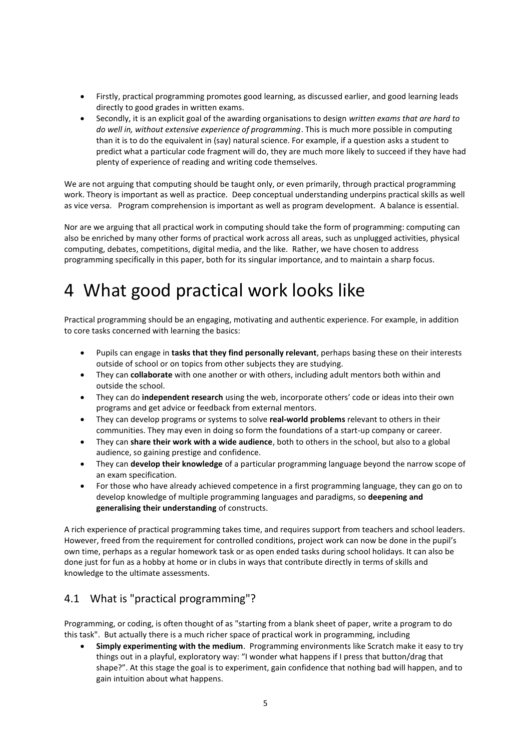- Firstly, practical programming promotes good learning, as discussed earlier, and good learning leads directly to good grades in written exams.
- Secondly, it is an explicit goal of the awarding organisations to design *written exams that are hard to do well in, without extensive experience of programming*. This is much more possible in computing than it is to do the equivalent in (say) natural science. For example, if a question asks a student to predict what a particular code fragment will do, they are much more likely to succeed if they have had plenty of experience of reading and writing code themselves.

We are not arguing that computing should be taught only, or even primarily, through practical programming work. Theory is important as well as practice. Deep conceptual understanding underpins practical skills as well as vice versa. Program comprehension is important as well as program development. A balance is essential.

Nor are we arguing that all practical work in computing should take the form of programming: computing can also be enriched by many other forms of practical work across all areas, such as unplugged activities, physical computing, debates, competitions, digital media, and the like. Rather, we have chosen to address programming specifically in this paper, both for its singular importance, and to maintain a sharp focus.

## 4 What good practical work looks like

Practical programming should be an engaging, motivating and authentic experience. For example, in addition to core tasks concerned with learning the basics:

- Pupils can engage in **tasks that they find personally relevant**, perhaps basing these on their interests outside of school or on topics from other subjects they are studying.
- They can **collaborate** with one another or with others, including adult mentors both within and outside the school.
- They can do **independent research** using the web, incorporate others' code or ideas into their own programs and get advice or feedback from external mentors.
- They can develop programs or systems to solve **real-world problems** relevant to others in their communities. They may even in doing so form the foundations of a start-up company or career.
- They can **share their work with a wide audience**, both to others in the school, but also to a global audience, so gaining prestige and confidence.
- They can **develop their knowledge** of a particular programming language beyond the narrow scope of an exam specification.
- For those who have already achieved competence in a first programming language, they can go on to develop knowledge of multiple programming languages and paradigms, so **deepening and generalising their understanding** of constructs.

A rich experience of practical programming takes time, and requires support from teachers and school leaders. However, freed from the requirement for controlled conditions, project work can now be done in the pupil's own time, perhaps as a regular homework task or as open ended tasks during school holidays. It can also be done just for fun as a hobby at home or in clubs in ways that contribute directly in terms of skills and knowledge to the ultimate assessments.

### 4.1 What is "practical programming"?

Programming, or coding, is often thought of as "starting from a blank sheet of paper, write a program to do this task". But actually there is a much richer space of practical work in programming, including

• **Simply experimenting with the medium**. Programming environments like Scratch make it easy to try things out in a playful, exploratory way: "I wonder what happens if I press that button/drag that shape?". At this stage the goal is to experiment, gain confidence that nothing bad will happen, and to gain intuition about what happens.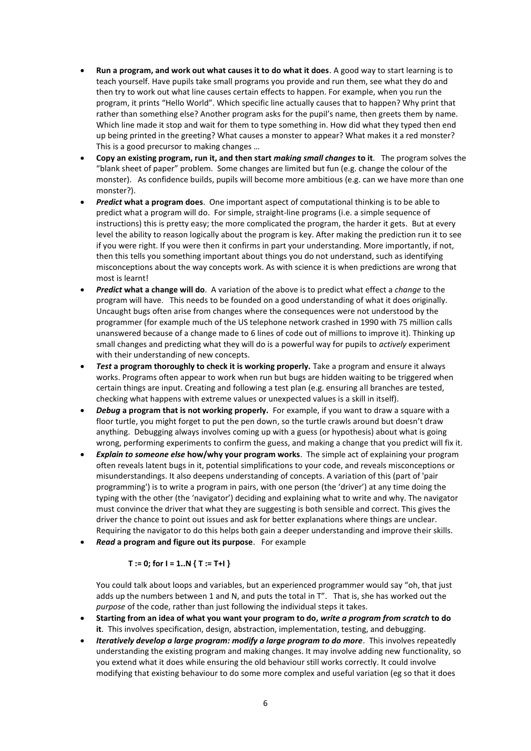- **Run a program, and work out what causes it to do what it does**. A good way to start learning is to teach yourself. Have pupils take small programs you provide and run them, see what they do and then try to work out what line causes certain effects to happen. For example, when you run the program, it prints "Hello World". Which specific line actually causes that to happen? Why print that rather than something else? Another program asks for the pupil's name, then greets them by name. Which line made it stop and wait for them to type something in. How did what they typed then end up being printed in the greeting? What causes a monster to appear? What makes it a red monster? This is a good precursor to making changes …
- **Copy an existing program, run it, and then start** *making small changes* **to it**. The program solves the "blank sheet of paper" problem. Some changes are limited but fun (e.g. change the colour of the monster). As confidence builds, pupils will become more ambitious (e.g. can we have more than one monster?).
- *Predict* **what a program does**. One important aspect of computational thinking is to be able to predict what a program will do. For simple, straight-line programs (i.e. a simple sequence of instructions) this is pretty easy; the more complicated the program, the harder it gets. But at every level the ability to reason logically about the program is key. After making the prediction run it to see if you were right. If you were then it confirms in part your understanding. More importantly, if not, then this tells you something important about things you do not understand, such as identifying misconceptions about the way concepts work. As with science it is when predictions are wrong that most is learnt!
- *Predict* **what a change will do**. A variation of the above is to predict what effect a *change* to the program will have. This needs to be founded on a good understanding of what it does originally. Uncaught bugs often arise from changes where the consequences were not understood by the programmer (for example much of the US telephone network crashed in 1990 with 75 million calls unanswered because of a change made to 6 lines of code out of millions to improve it). Thinking up small changes and predicting what they will do is a powerful way for pupils to *actively* experiment with their understanding of new concepts.
- *Test* **a program thoroughly to check it is working properly.** Take a program and ensure it always works. Programs often appear to work when run but bugs are hidden waiting to be triggered when certain things are input. Creating and following a test plan (e.g. ensuring all branches are tested, checking what happens with extreme values or unexpected values is a skill in itself).
- *Debug* **a program that is not working properly.** For example, if you want to draw a square with a floor turtle, you might forget to put the pen down, so the turtle crawls around but doesn't draw anything. Debugging always involves coming up with a guess (or hypothesis) about what is going wrong, performing experiments to confirm the guess, and making a change that you predict will fix it.
- *Explain to someone else* **how/why your program works**. The simple act of explaining your program often reveals latent bugs in it, potential simplifications to your code, and reveals misconceptions or misunderstandings. It also deepens understanding of concepts. A variation of this (part of 'pair programming') is to write a program in pairs, with one person (the 'driver') at any time doing the typing with the other (the 'navigator') deciding and explaining what to write and why. The navigator must convince the driver that what they are suggesting is both sensible and correct. This gives the driver the chance to point out issues and ask for better explanations where things are unclear. Requiring the navigator to do this helps both gain a deeper understanding and improve their skills.
- *Read* **a program and figure out its purpose**. For example

#### $T := 0$ ; for  $I = 1..N$  {  $T := T+I$  }

You could talk about loops and variables, but an experienced programmer would say "oh, that just adds up the numbers between 1 and N, and puts the total in T". That is, she has worked out the *purpose* of the code, rather than just following the individual steps it takes.

- **Starting from an idea of what you want your program to do,** *write a program from scratch* **to do it**. This involves specification, design, abstraction, implementation, testing, and debugging.
- *Iteratively develop a large program: modify a large program to do more*. This involves repeatedly understanding the existing program and making changes. It may involve adding new functionality, so you extend what it does while ensuring the old behaviour still works correctly. It could involve modifying that existing behaviour to do some more complex and useful variation (eg so that it does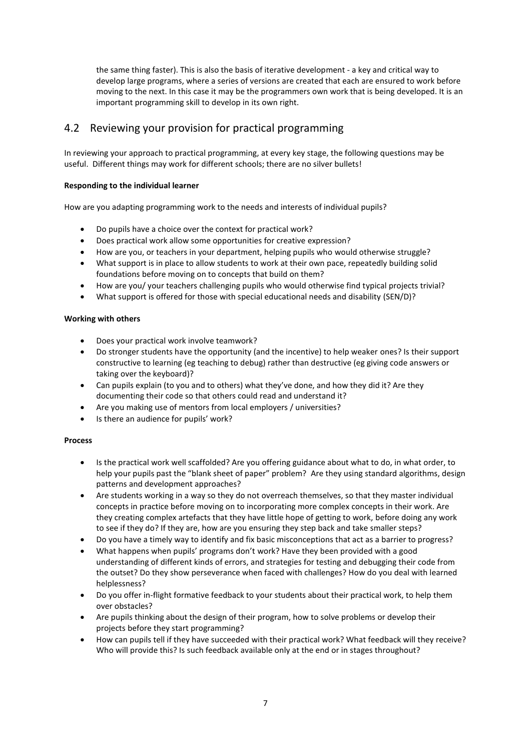the same thing faster). This is also the basis of iterative development - a key and critical way to develop large programs, where a series of versions are created that each are ensured to work before moving to the next. In this case it may be the programmers own work that is being developed. It is an important programming skill to develop in its own right.

### 4.2 Reviewing your provision for practical programming

In reviewing your approach to practical programming, at every key stage, the following questions may be useful. Different things may work for different schools; there are no silver bullets!

#### **Responding to the individual learner**

How are you adapting programming work to the needs and interests of individual pupils?

- Do pupils have a choice over the context for practical work?
- Does practical work allow some opportunities for creative expression?
- How are you, or teachers in your department, helping pupils who would otherwise struggle?
- What support is in place to allow students to work at their own pace, repeatedly building solid foundations before moving on to concepts that build on them?
- How are you/ your teachers challenging pupils who would otherwise find typical projects trivial?
- What support is offered for those with special educational needs and disability (SEN/D)?

#### **Working with others**

- Does your practical work involve teamwork?
- Do stronger students have the opportunity (and the incentive) to help weaker ones? Is their support constructive to learning (eg teaching to debug) rather than destructive (eg giving code answers or taking over the keyboard)?
- Can pupils explain (to you and to others) what they've done, and how they did it? Are they documenting their code so that others could read and understand it?
- Are you making use of mentors from local employers / universities?
- Is there an audience for pupils' work?

#### **Process**

- Is the practical work well scaffolded? Are you offering guidance about what to do, in what order, to help your pupils past the "blank sheet of paper" problem? Are they using standard algorithms, design patterns and development approaches?
- Are students working in a way so they do not overreach themselves, so that they master individual concepts in practice before moving on to incorporating more complex concepts in their work. Are they creating complex artefacts that they have little hope of getting to work, before doing any work to see if they do? If they are, how are you ensuring they step back and take smaller steps?
- Do you have a timely way to identify and fix basic misconceptions that act as a barrier to progress?
- What happens when pupils' programs don't work? Have they been provided with a good understanding of different kinds of errors, and strategies for testing and debugging their code from the outset? Do they show perseverance when faced with challenges? How do you deal with learned helplessness?
- Do you offer in-flight formative feedback to your students about their practical work, to help them over obstacles?
- Are pupils thinking about the design of their program, how to solve problems or develop their projects before they start programming?
- How can pupils tell if they have succeeded with their practical work? What feedback will they receive? Who will provide this? Is such feedback available only at the end or in stages throughout?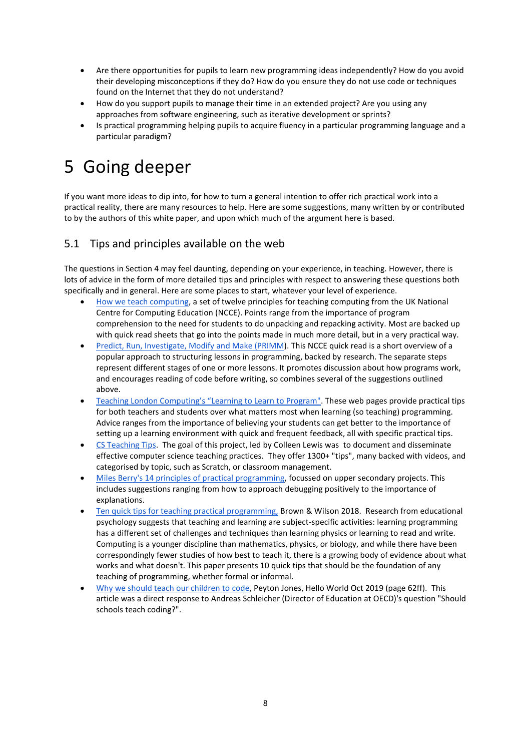- Are there opportunities for pupils to learn new programming ideas independently? How do you avoid their developing misconceptions if they do? How do you ensure they do not use code or techniques found on the Internet that they do not understand?
- How do you support pupils to manage their time in an extended project? Are you using any approaches from software engineering, such as iterative development or sprints?
- Is practical programming helping pupils to acquire fluency in a particular programming language and a particular paradigm?

## 5 Going deeper

If you want more ideas to dip into, for how to turn a general intention to offer rich practical work into a practical reality, there are many resources to help. Here are some suggestions, many written by or contributed to by the authors of this white paper, and upon which much of the argument here is based.

### 5.1 Tips and principles available on the web

The questions in Section 4 may feel daunting, depending on your experience, in teaching. However, there is lots of advice in the form of more detailed tips and principles with respect to answering these questions both specifically and in general. Here are some places to start, whatever your level of experience.

- [How we teach computing,](https://blog.teachcomputing.org/how-we-teach-computing/) a set of twelve principles for teaching computing from the UK National Centre for Computing Education (NCCE). Points range from the importance of program comprehension to the need for students to do unpacking and repacking activity. Most are backed up with quick read sheets that go into the points made in much more detail, but in a very practical way.
- [Predict, Run, Investigate, Modify and Make \(PRIMM\)](https://raspberrypi-education.s3-eu-west-1.amazonaws.com/Quick+Reads/Pedagogy+Quick+Read+11+-+PRIMM.pdf). This NCCE quick read is a short overview of a popular approach to structuring lessons in programming, backed by research. The separate steps represent different stages of one or more lessons. It promotes discussion about how programs work, and encourages reading of code before writing, so combines several of the suggestions outlined above.
- [Teaching London Computing's "](https://teachinglondoncomputing.org/learning-to-learn-to-program/)Learning to Learn to Program". These web pages provide practical tips for both teachers and students over what matters most when learning (so teaching) programming. Advice ranges from the importance of believing your students can get better to the importance of setting up a learning environment with quick and frequent feedback, all with specific practical tips.
- [CS Teaching Tips.](https://www.csteachingtips.org/) The goal of this project, led by Colleen Lewis was to document and disseminate effective computer science teaching practices. They offer 1300+ "tips", many backed with videos, and categorised by topic, such as Scratch, or classroom management.
- [Miles Berry's 14 principles of practical programming,](http://milesberry.net/2021/11/practical-programming/) focussed on upper secondary projects. This includes suggestions ranging from how to approach debugging positively to the importance of explanations.
- [Ten quick tips for teaching practical programming,](https://journals.plos.org/ploscompbiol/article?id=10.1371/journal.pcbi.1006023) Brown & Wilson 2018. Research from educational psychology suggests that teaching and learning are subject-specific activities: learning programming has a different set of challenges and techniques than learning physics or learning to read and write. Computing is a younger discipline than mathematics, physics, or biology, and while there have been correspondingly fewer studies of how best to teach it, there is a growing body of evidence about what works and what doesn't. This paper presents 10 quick tips that should be the foundation of any teaching of programming, whether formal or informal.
- [Why we should teach our children to code,](https://helloworld.raspberrypi.org/issues/10) Peyton Jones, Hello World Oct 2019 (page 62ff). This article was a direct response to Andreas Schleicher (Director of Education at OECD)'s question "Should schools teach coding?".